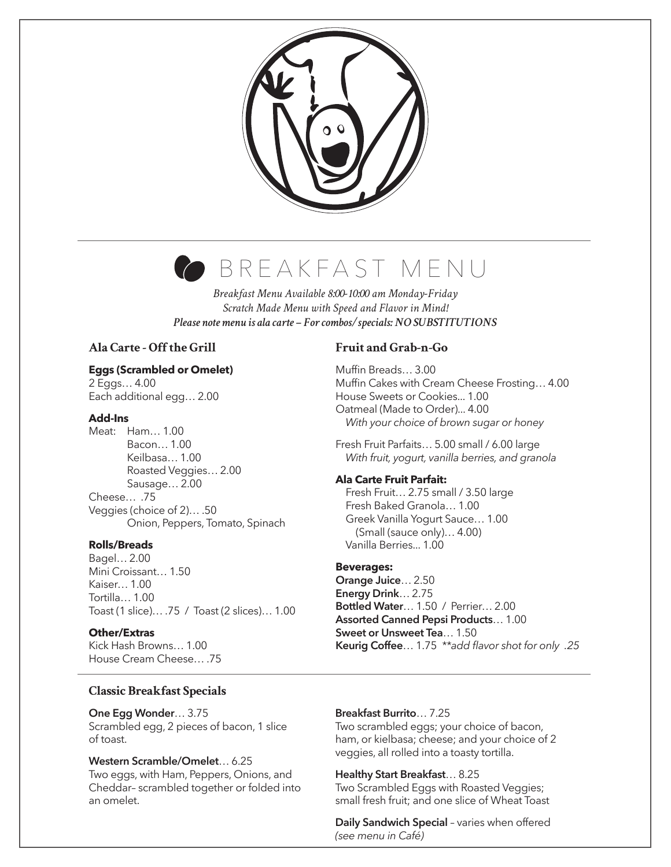

# BREAKFAST MENU

*Breakfast Menu Available 8:00-10:00 am Monday-Friday Scratch Made Menu with Speed and Flavor in Mind! Please note menu is ala carte – For combos/specials: NO SUBSTITUTIONS*

# **Ala Carte - Off the Grill**

#### **Eggs (Scrambled or Omelet)**

2 Eggs… 4.00 Each additional egg… 2.00

#### **Add-Ins**

Meat: Ham… 1.00 Bacon… 1.00 Keilbasa… 1.00 Roasted Veggies… 2.00 Sausage… 2.00 Cheese… .75 Veggies (choice of 2)… .50 Onion, Peppers, Tomato, Spinach

#### **Rolls/Breads**

Bagel… 2.00 Mini Croissant… 1.50 Kaiser… 1.00 Tortilla… 1.00 Toast (1 slice)… .75 / Toast (2 slices)… 1.00

#### **Other/Extras**

Kick Hash Browns… 1.00 House Cream Cheese… .75

## **Fruit and Grab-n-Go**

Muffin Breads… 3.00 Muffin Cakes with Cream Cheese Frosting… 4.00 House Sweets or Cookies... 1.00 Oatmeal (Made to Order)... 4.00  *With your choice of brown sugar or honey*

Fresh Fruit Parfaits… 5.00 small / 6.00 large  *With fruit, yogurt, vanilla berries, and granola*

#### **Ala Carte Fruit Parfait:**

 Fresh Fruit… 2.75 small / 3.50 large Fresh Baked Granola… 1.00 Greek Vanilla Yogurt Sauce… 1.00 (Small (sauce only)… 4.00) Vanilla Berries... 1.00

#### **Beverages:**

**Orange Juice**… 2.50 **Energy Drink**… 2.75 **Bottled Water**… 1.50 / Perrier… 2.00 **Assorted Canned Pepsi Products**… 1.00 **Sweet or Unsweet Tea**… 1.50 **Keurig Coffee**… 1.75 *\*\*add flavor shot for only .25*

#### **Classic Breakfast Specials**

#### **One Egg Wonder**… 3.75

Scrambled egg, 2 pieces of bacon, 1 slice of toast.

#### **Western Scramble/Omelet**… 6.25 Two eggs, with Ham, Peppers, Onions, and Cheddar– scrambled together or folded into an omelet.

#### **Breakfast Burrito**… 7.25

Two scrambled eggs; your choice of bacon, ham, or kielbasa; cheese; and your choice of 2 veggies, all rolled into a toasty tortilla.

#### **Healthy Start Breakfast**… 8.25

Two Scrambled Eggs with Roasted Veggies; small fresh fruit; and one slice of Wheat Toast

**Daily Sandwich Special** – varies when offered *(see menu in Café)*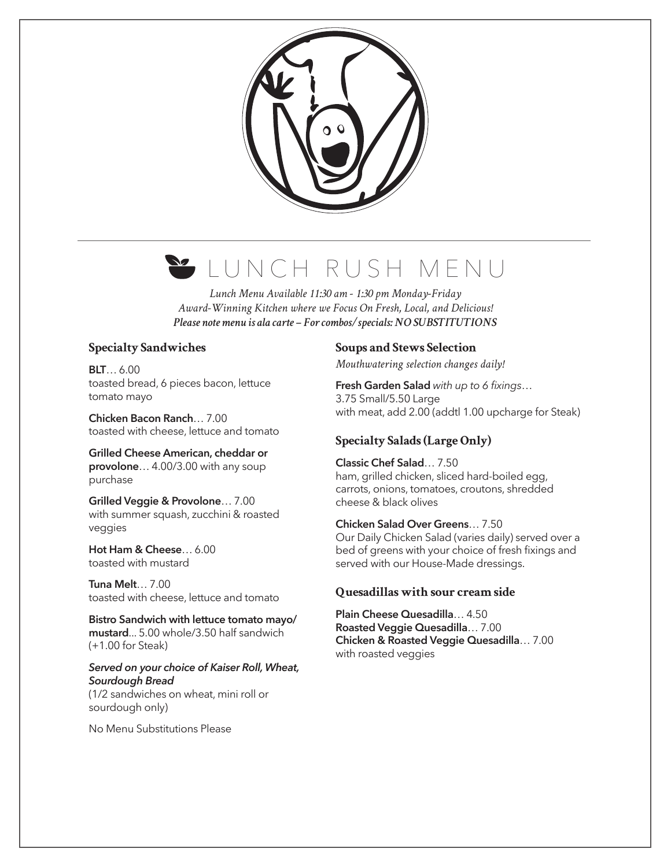

# LUNCH RUSH MENU

*Lunch Menu Available 11:30 am - 1:30 pm Monday-Friday Award-Winning Kitchen where we Focus On Fresh, Local, and Delicious! Please note menu is ala carte – For combos/specials: NO SUBSTITUTIONS*

# **Specialty Sandwiches**

**BLT**… 6.00 toasted bread, 6 pieces bacon, lettuce tomato mayo

**Chicken Bacon Ranch**… 7.00 toasted with cheese, lettuce and tomato

**Grilled Cheese American, cheddar or provolone**… 4.00/3.00 with any soup purchase

**Grilled Veggie & Provolone**… 7.00 with summer squash, zucchini & roasted veggies

**Hot Ham & Cheese**… 6.00 toasted with mustard

**Tuna Melt**… 7.00 toasted with cheese, lettuce and tomato

**Bistro Sandwich with lettuce tomato mayo/ mustard**... 5.00 whole/3.50 half sandwich (+1.00 for Steak)

*Served on your choice of Kaiser Roll, Wheat, Sourdough Bread* (1/2 sandwiches on wheat, mini roll or sourdough only)

No Menu Substitutions Please

#### **Soups and Stews Selection**

*Mouthwatering selection changes daily!*

**Fresh Garden Salad** *with up to 6 fixings*… 3.75 Small/5.50 Large with meat, add 2.00 (addtl 1.00 upcharge for Steak)

# **Specialty Salads (Large Only)**

**Classic Chef Salad**… 7.50 ham, grilled chicken, sliced hard-boiled egg, carrots, onions, tomatoes, croutons, shredded cheese & black olives

**Chicken Salad Over Greens**… 7.50 Our Daily Chicken Salad (varies daily) served over a bed of greens with your choice of fresh fixings and served with our House-Made dressings.

# **Quesadillas with sour cream side**

**Plain Cheese Quesadilla**… 4.50 **Roasted Veggie Quesadilla**… 7.00 **Chicken & Roasted Veggie Quesadilla**… 7.00 with roasted veggies